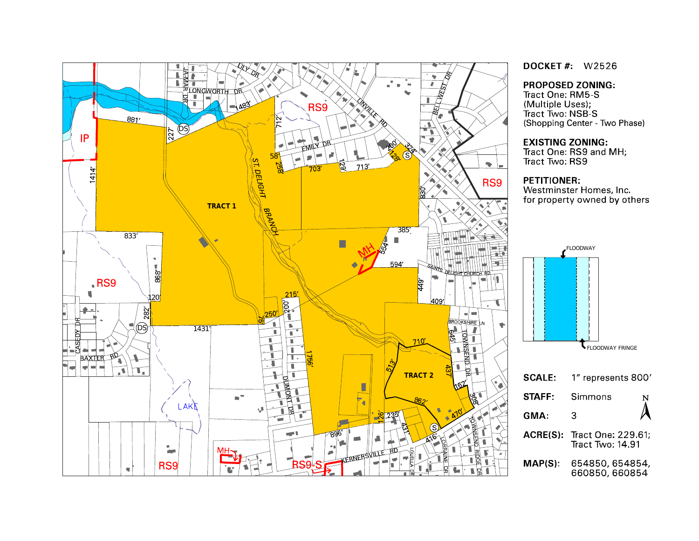

**DOCKET#** W2526

#### **PROPOSED ZONING:**

(Multiple Uses), Tract Two: NSB-S (Shopping Center - Two Phase)

#### **EXISTING ZONING:**

Tract One: RS9 and MH,

Westminster Homes, Inc. for property owned by others

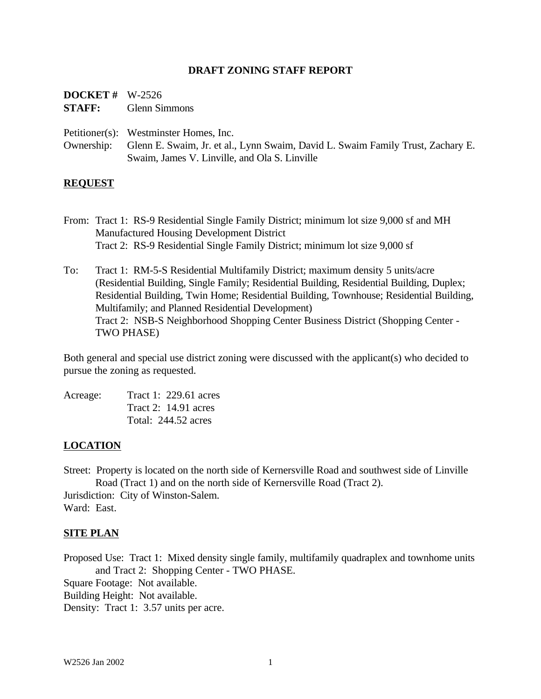#### **DRAFT ZONING STAFF REPORT**

| <b>DOCKET</b> # $W-2526$ |                      |
|--------------------------|----------------------|
| <b>STAFF:</b>            | <b>Glenn Simmons</b> |

Petitioner(s): Westminster Homes, Inc.

Ownership: Glenn E. Swaim, Jr. et al., Lynn Swaim, David L. Swaim Family Trust, Zachary E. Swaim, James V. Linville, and Ola S. Linville

#### **REQUEST**

- From: Tract 1: RS-9 Residential Single Family District; minimum lot size 9,000 sf and MH Manufactured Housing Development District Tract 2: RS-9 Residential Single Family District; minimum lot size 9,000 sf
- To: Tract 1: RM-5-S Residential Multifamily District; maximum density 5 units/acre (Residential Building, Single Family; Residential Building, Residential Building, Duplex; Residential Building, Twin Home; Residential Building, Townhouse; Residential Building, Multifamily; and Planned Residential Development) Tract 2: NSB-S Neighborhood Shopping Center Business District (Shopping Center - TWO PHASE)

Both general and special use district zoning were discussed with the applicant(s) who decided to pursue the zoning as requested.

Acreage: Tract 1: 229.61 acres Tract 2: 14.91 acres Total: 244.52 acres

#### **LOCATION**

Street: Property is located on the north side of Kernersville Road and southwest side of Linville Road (Tract 1) and on the north side of Kernersville Road (Tract 2).

Jurisdiction: City of Winston-Salem. Ward: East.

#### **SITE PLAN**

Proposed Use: Tract 1: Mixed density single family, multifamily quadraplex and townhome units and Tract 2: Shopping Center - TWO PHASE.

Square Footage: Not available.

Building Height: Not available.

Density: Tract 1: 3.57 units per acre.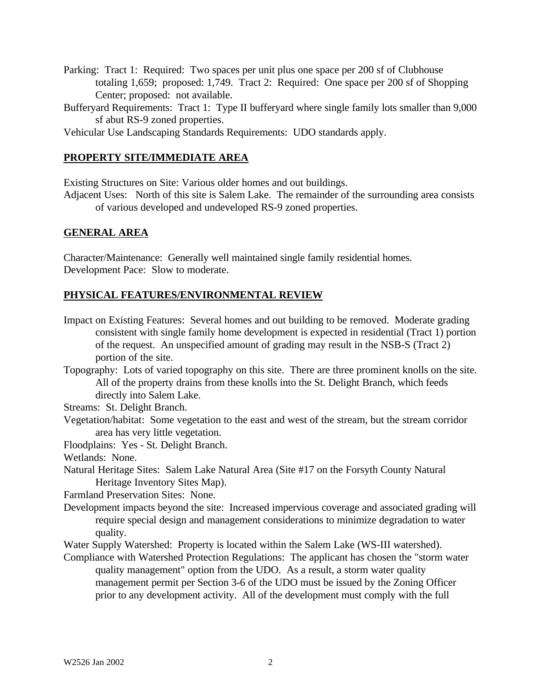- Parking: Tract 1: Required: Two spaces per unit plus one space per 200 sf of Clubhouse totaling 1,659; proposed: 1,749. Tract 2: Required: One space per 200 sf of Shopping Center; proposed: not available.
- Bufferyard Requirements: Tract 1: Type II bufferyard where single family lots smaller than 9,000 sf abut RS-9 zoned properties.
- Vehicular Use Landscaping Standards Requirements: UDO standards apply.

## **PROPERTY SITE/IMMEDIATE AREA**

Existing Structures on Site: Various older homes and out buildings.

Adjacent Uses: North of this site is Salem Lake. The remainder of the surrounding area consists of various developed and undeveloped RS-9 zoned properties.

## **GENERAL AREA**

Character/Maintenance: Generally well maintained single family residential homes. Development Pace: Slow to moderate.

## **PHYSICAL FEATURES/ENVIRONMENTAL REVIEW**

- Impact on Existing Features: Several homes and out building to be removed. Moderate grading consistent with single family home development is expected in residential (Tract 1) portion of the request. An unspecified amount of grading may result in the NSB-S (Tract 2) portion of the site.
- Topography: Lots of varied topography on this site. There are three prominent knolls on the site. All of the property drains from these knolls into the St. Delight Branch, which feeds directly into Salem Lake.

Streams: St. Delight Branch.

Vegetation/habitat: Some vegetation to the east and west of the stream, but the stream corridor area has very little vegetation.

Floodplains: Yes - St. Delight Branch.

Wetlands: None.

Natural Heritage Sites: Salem Lake Natural Area (Site #17 on the Forsyth County Natural Heritage Inventory Sites Map).

Farmland Preservation Sites: None.

- Development impacts beyond the site: Increased impervious coverage and associated grading will require special design and management considerations to minimize degradation to water quality.
- Water Supply Watershed: Property is located within the Salem Lake (WS-III watershed).
- Compliance with Watershed Protection Regulations: The applicant has chosen the "storm water quality management" option from the UDO. As a result, a storm water quality management permit per Section 3-6 of the UDO must be issued by the Zoning Officer prior to any development activity. All of the development must comply with the full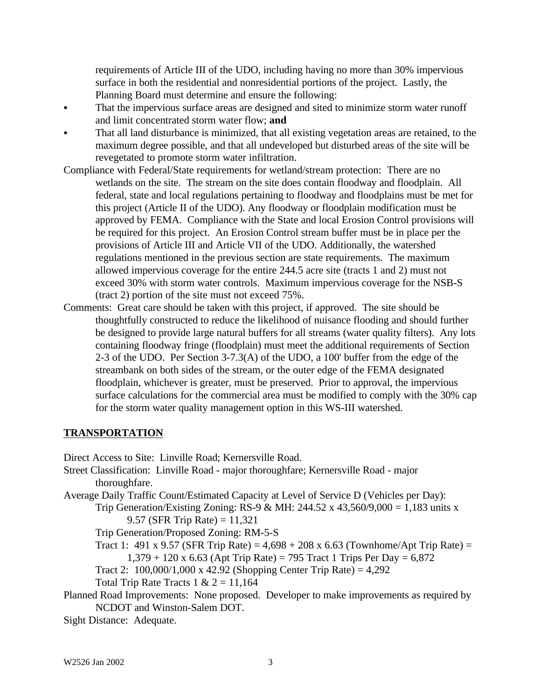requirements of Article III of the UDO, including having no more than 30% impervious surface in both the residential and nonresidential portions of the project. Lastly, the Planning Board must determine and ensure the following:

- That the impervious surface areas are designed and sited to minimize storm water runoff and limit concentrated storm water flow; **and**
- That all land disturbance is minimized, that all existing vegetation areas are retained, to the maximum degree possible, and that all undeveloped but disturbed areas of the site will be revegetated to promote storm water infiltration.
- Compliance with Federal/State requirements for wetland/stream protection: There are no wetlands on the site. The stream on the site does contain floodway and floodplain. All federal, state and local regulations pertaining to floodway and floodplains must be met for this project (Article II of the UDO). Any floodway or floodplain modification must be approved by FEMA. Compliance with the State and local Erosion Control provisions will be required for this project. An Erosion Control stream buffer must be in place per the provisions of Article III and Article VII of the UDO. Additionally, the watershed regulations mentioned in the previous section are state requirements. The maximum allowed impervious coverage for the entire 244.5 acre site (tracts 1 and 2) must not exceed 30% with storm water controls. Maximum impervious coverage for the NSB-S (tract 2) portion of the site must not exceed 75%.
- Comments: Great care should be taken with this project, if approved. The site should be thoughtfully constructed to reduce the likelihood of nuisance flooding and should further be designed to provide large natural buffers for all streams (water quality filters). Any lots containing floodway fringe (floodplain) must meet the additional requirements of Section 2-3 of the UDO. Per Section 3-7.3(A) of the UDO, a 100' buffer from the edge of the streambank on both sides of the stream, or the outer edge of the FEMA designated floodplain, whichever is greater, must be preserved. Prior to approval, the impervious surface calculations for the commercial area must be modified to comply with the 30% cap for the storm water quality management option in this WS-III watershed.

## **TRANSPORTATION**

Direct Access to Site: Linville Road; Kernersville Road.

- Street Classification: Linville Road major thoroughfare; Kernersville Road major thoroughfare.
- Average Daily Traffic Count/Estimated Capacity at Level of Service D (Vehicles per Day):
	- Trip Generation/Existing Zoning: RS-9 & MH: 244.52 x 43,560/9,000 = 1,183 units x 9.57 (SFR Trip Rate) =  $11,321$

Trip Generation/Proposed Zoning: RM-5-S

- Tract 1: 491 x 9.57 (SFR Trip Rate) =  $4,698 + 208$  x 6.63 (Townhome/Apt Trip Rate) =  $1,379 + 120 \times 6.63$  (Apt Trip Rate) = 795 Tract 1 Trips Per Day = 6,872
- Tract 2:  $100,000/1,000 \times 42.92$  (Shopping Center Trip Rate) = 4,292
- Total Trip Rate Tracts  $1 \& 2 = 11,164$
- Planned Road Improvements: None proposed. Developer to make improvements as required by NCDOT and Winston-Salem DOT.

Sight Distance: Adequate.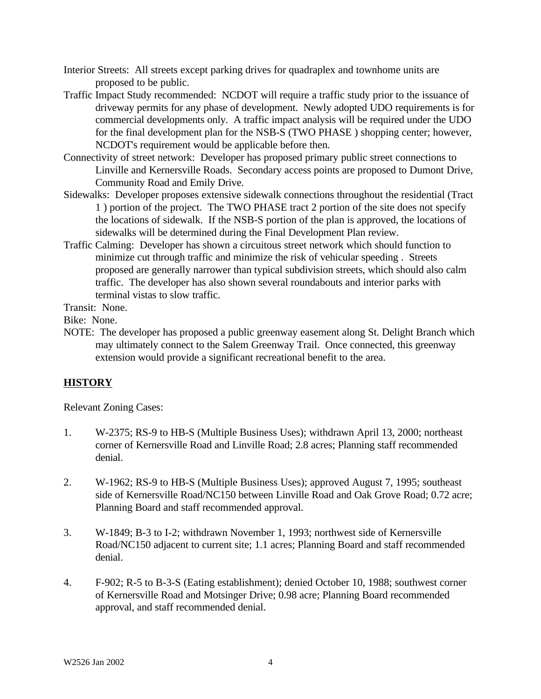- Interior Streets: All streets except parking drives for quadraplex and townhome units are proposed to be public.
- Traffic Impact Study recommended: NCDOT will require a traffic study prior to the issuance of driveway permits for any phase of development. Newly adopted UDO requirements is for commercial developments only. A traffic impact analysis will be required under the UDO for the final development plan for the NSB-S (TWO PHASE ) shopping center; however, NCDOT's requirement would be applicable before then.
- Connectivity of street network: Developer has proposed primary public street connections to Linville and Kernersville Roads. Secondary access points are proposed to Dumont Drive, Community Road and Emily Drive.
- Sidewalks: Developer proposes extensive sidewalk connections throughout the residential (Tract 1 ) portion of the project. The TWO PHASE tract 2 portion of the site does not specify the locations of sidewalk. If the NSB-S portion of the plan is approved, the locations of sidewalks will be determined during the Final Development Plan review.
- Traffic Calming: Developer has shown a circuitous street network which should function to minimize cut through traffic and minimize the risk of vehicular speeding . Streets proposed are generally narrower than typical subdivision streets, which should also calm traffic. The developer has also shown several roundabouts and interior parks with terminal vistas to slow traffic.

Transit: None.

Bike: None.

NOTE: The developer has proposed a public greenway easement along St. Delight Branch which may ultimately connect to the Salem Greenway Trail. Once connected, this greenway extension would provide a significant recreational benefit to the area.

## **HISTORY**

Relevant Zoning Cases:

- 1. W-2375; RS-9 to HB-S (Multiple Business Uses); withdrawn April 13, 2000; northeast corner of Kernersville Road and Linville Road; 2.8 acres; Planning staff recommended denial.
- 2. W-1962; RS-9 to HB-S (Multiple Business Uses); approved August 7, 1995; southeast side of Kernersville Road/NC150 between Linville Road and Oak Grove Road; 0.72 acre; Planning Board and staff recommended approval.
- 3. W-1849; B-3 to I-2; withdrawn November 1, 1993; northwest side of Kernersville Road/NC150 adjacent to current site; 1.1 acres; Planning Board and staff recommended denial.
- 4. F-902; R-5 to B-3-S (Eating establishment); denied October 10, 1988; southwest corner of Kernersville Road and Motsinger Drive; 0.98 acre; Planning Board recommended approval, and staff recommended denial.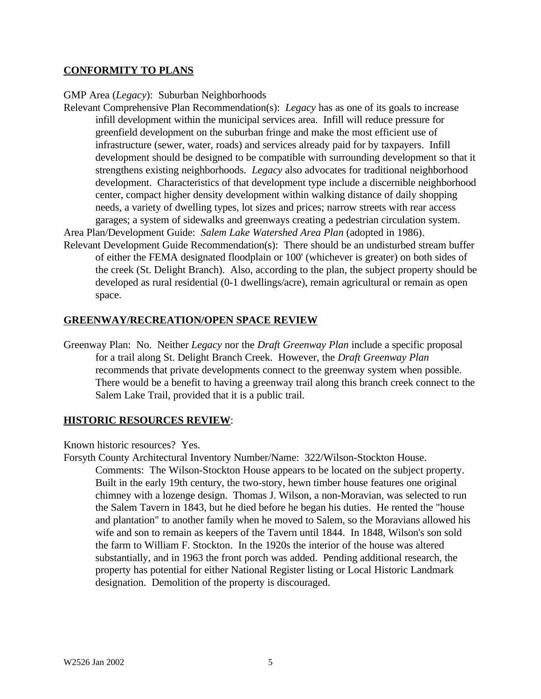## **CONFORMITY TO PLANS**

#### GMP Area (*Legacy*): Suburban Neighborhoods

Relevant Comprehensive Plan Recommendation(s): *Legacy* has as one of its goals to increase infill development within the municipal services area. Infill will reduce pressure for greenfield development on the suburban fringe and make the most efficient use of infrastructure (sewer, water, roads) and services already paid for by taxpayers. Infill development should be designed to be compatible with surrounding development so that it strengthens existing neighborhoods. *Legacy* also advocates for traditional neighborhood development. Characteristics of that development type include a discernible neighborhood center, compact higher density development within walking distance of daily shopping needs, a variety of dwelling types, lot sizes and prices; narrow streets with rear access garages; a system of sidewalks and greenways creating a pedestrian circulation system.

Area Plan/Development Guide: *Salem Lake Watershed Area Plan* (adopted in 1986).

Relevant Development Guide Recommendation(s): There should be an undisturbed stream buffer of either the FEMA designated floodplain or 100' (whichever is greater) on both sides of the creek (St. Delight Branch). Also, according to the plan, the subject property should be developed as rural residential (0-1 dwellings/acre), remain agricultural or remain as open space.

#### **GREENWAY/RECREATION/OPEN SPACE REVIEW**

Greenway Plan: No. Neither *Legacy* nor the *Draft Greenway Plan* include a specific proposal for a trail along St. Delight Branch Creek. However, the *Draft Greenway Plan* recommends that private developments connect to the greenway system when possible. There would be a benefit to having a greenway trail along this branch creek connect to the Salem Lake Trail, provided that it is a public trail.

#### **HISTORIC RESOURCES REVIEW**:

Known historic resources? Yes.

Forsyth County Architectural Inventory Number/Name: 322/Wilson-Stockton House. Comments: The Wilson-Stockton House appears to be located on the subject property. Built in the early 19th century, the two-story, hewn timber house features one original chimney with a lozenge design. Thomas J. Wilson, a non-Moravian, was selected to run the Salem Tavern in 1843, but he died before he began his duties. He rented the "house and plantation" to another family when he moved to Salem, so the Moravians allowed his wife and son to remain as keepers of the Tavern until 1844. In 1848, Wilson's son sold the farm to William F. Stockton. In the 1920s the interior of the house was altered substantially, and in 1963 the front porch was added. Pending additional research, the property has potential for either National Register listing or Local Historic Landmark designation. Demolition of the property is discouraged.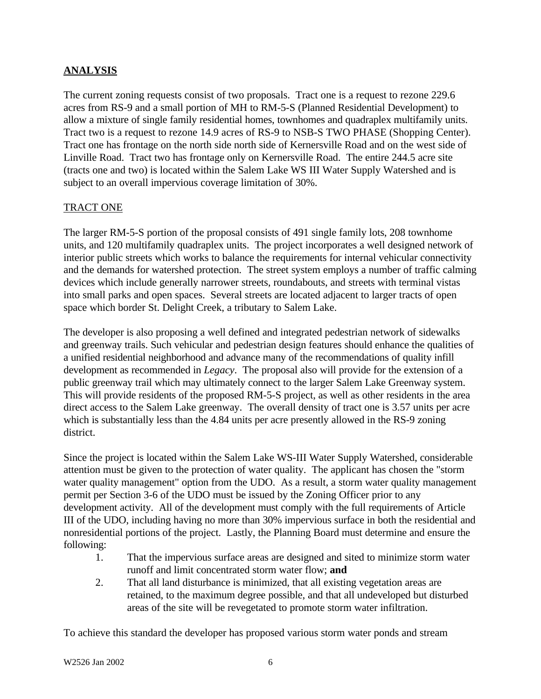# **ANALYSIS**

The current zoning requests consist of two proposals. Tract one is a request to rezone 229.6 acres from RS-9 and a small portion of MH to RM-5-S (Planned Residential Development) to allow a mixture of single family residential homes, townhomes and quadraplex multifamily units. Tract two is a request to rezone 14.9 acres of RS-9 to NSB-S TWO PHASE (Shopping Center). Tract one has frontage on the north side north side of Kernersville Road and on the west side of Linville Road. Tract two has frontage only on Kernersville Road. The entire 244.5 acre site (tracts one and two) is located within the Salem Lake WS III Water Supply Watershed and is subject to an overall impervious coverage limitation of 30%.

## TRACT ONE

The larger RM-5-S portion of the proposal consists of 491 single family lots, 208 townhome units, and 120 multifamily quadraplex units. The project incorporates a well designed network of interior public streets which works to balance the requirements for internal vehicular connectivity and the demands for watershed protection. The street system employs a number of traffic calming devices which include generally narrower streets, roundabouts, and streets with terminal vistas into small parks and open spaces. Several streets are located adjacent to larger tracts of open space which border St. Delight Creek, a tributary to Salem Lake.

The developer is also proposing a well defined and integrated pedestrian network of sidewalks and greenway trails. Such vehicular and pedestrian design features should enhance the qualities of a unified residential neighborhood and advance many of the recommendations of quality infill development as recommended in *Legacy*. The proposal also will provide for the extension of a public greenway trail which may ultimately connect to the larger Salem Lake Greenway system. This will provide residents of the proposed RM-5-S project, as well as other residents in the area direct access to the Salem Lake greenway. The overall density of tract one is 3.57 units per acre which is substantially less than the 4.84 units per acre presently allowed in the RS-9 zoning district.

Since the project is located within the Salem Lake WS-III Water Supply Watershed, considerable attention must be given to the protection of water quality. The applicant has chosen the "storm water quality management" option from the UDO. As a result, a storm water quality management permit per Section 3-6 of the UDO must be issued by the Zoning Officer prior to any development activity. All of the development must comply with the full requirements of Article III of the UDO, including having no more than 30% impervious surface in both the residential and nonresidential portions of the project. Lastly, the Planning Board must determine and ensure the following:

- 1. That the impervious surface areas are designed and sited to minimize storm water runoff and limit concentrated storm water flow; **and**
- 2. That all land disturbance is minimized, that all existing vegetation areas are retained, to the maximum degree possible, and that all undeveloped but disturbed areas of the site will be revegetated to promote storm water infiltration.

To achieve this standard the developer has proposed various storm water ponds and stream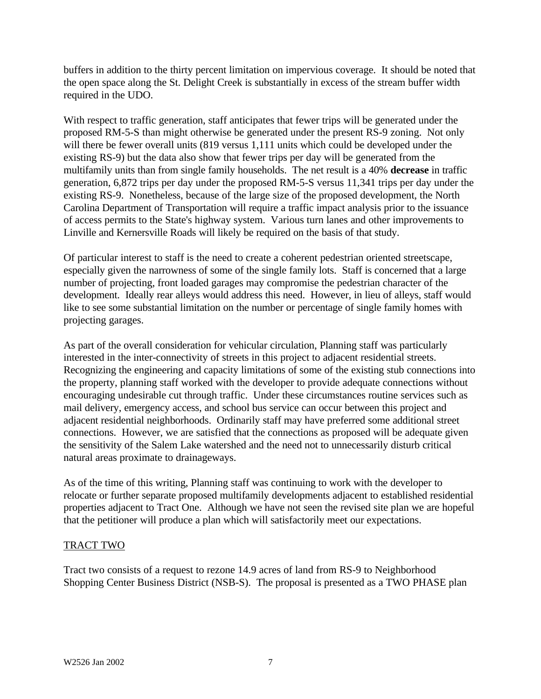buffers in addition to the thirty percent limitation on impervious coverage. It should be noted that the open space along the St. Delight Creek is substantially in excess of the stream buffer width required in the UDO.

With respect to traffic generation, staff anticipates that fewer trips will be generated under the proposed RM-5-S than might otherwise be generated under the present RS-9 zoning. Not only will there be fewer overall units (819 versus 1,111 units which could be developed under the existing RS-9) but the data also show that fewer trips per day will be generated from the multifamily units than from single family households. The net result is a 40% **decrease** in traffic generation, 6,872 trips per day under the proposed RM-5-S versus 11,341 trips per day under the existing RS-9. Nonetheless, because of the large size of the proposed development, the North Carolina Department of Transportation will require a traffic impact analysis prior to the issuance of access permits to the State's highway system. Various turn lanes and other improvements to Linville and Kernersville Roads will likely be required on the basis of that study.

Of particular interest to staff is the need to create a coherent pedestrian oriented streetscape, especially given the narrowness of some of the single family lots. Staff is concerned that a large number of projecting, front loaded garages may compromise the pedestrian character of the development. Ideally rear alleys would address this need. However, in lieu of alleys, staff would like to see some substantial limitation on the number or percentage of single family homes with projecting garages.

As part of the overall consideration for vehicular circulation, Planning staff was particularly interested in the inter-connectivity of streets in this project to adjacent residential streets. Recognizing the engineering and capacity limitations of some of the existing stub connections into the property, planning staff worked with the developer to provide adequate connections without encouraging undesirable cut through traffic. Under these circumstances routine services such as mail delivery, emergency access, and school bus service can occur between this project and adjacent residential neighborhoods. Ordinarily staff may have preferred some additional street connections. However, we are satisfied that the connections as proposed will be adequate given the sensitivity of the Salem Lake watershed and the need not to unnecessarily disturb critical natural areas proximate to drainageways.

As of the time of this writing, Planning staff was continuing to work with the developer to relocate or further separate proposed multifamily developments adjacent to established residential properties adjacent to Tract One. Although we have not seen the revised site plan we are hopeful that the petitioner will produce a plan which will satisfactorily meet our expectations.

## TRACT TWO

Tract two consists of a request to rezone 14.9 acres of land from RS-9 to Neighborhood Shopping Center Business District (NSB-S). The proposal is presented as a TWO PHASE plan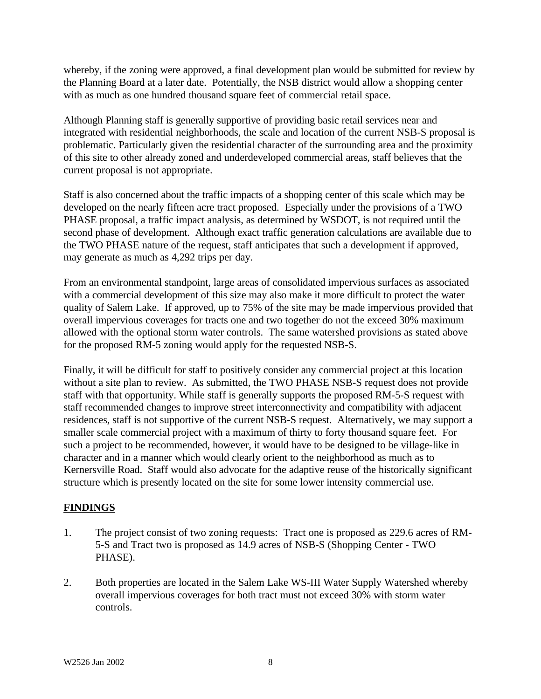whereby, if the zoning were approved, a final development plan would be submitted for review by the Planning Board at a later date. Potentially, the NSB district would allow a shopping center with as much as one hundred thousand square feet of commercial retail space.

Although Planning staff is generally supportive of providing basic retail services near and integrated with residential neighborhoods, the scale and location of the current NSB-S proposal is problematic. Particularly given the residential character of the surrounding area and the proximity of this site to other already zoned and underdeveloped commercial areas, staff believes that the current proposal is not appropriate.

Staff is also concerned about the traffic impacts of a shopping center of this scale which may be developed on the nearly fifteen acre tract proposed. Especially under the provisions of a TWO PHASE proposal, a traffic impact analysis, as determined by WSDOT, is not required until the second phase of development. Although exact traffic generation calculations are available due to the TWO PHASE nature of the request, staff anticipates that such a development if approved, may generate as much as 4,292 trips per day.

From an environmental standpoint, large areas of consolidated impervious surfaces as associated with a commercial development of this size may also make it more difficult to protect the water quality of Salem Lake. If approved, up to 75% of the site may be made impervious provided that overall impervious coverages for tracts one and two together do not the exceed 30% maximum allowed with the optional storm water controls. The same watershed provisions as stated above for the proposed RM-5 zoning would apply for the requested NSB-S.

Finally, it will be difficult for staff to positively consider any commercial project at this location without a site plan to review. As submitted, the TWO PHASE NSB-S request does not provide staff with that opportunity. While staff is generally supports the proposed RM-5-S request with staff recommended changes to improve street interconnectivity and compatibility with adjacent residences, staff is not supportive of the current NSB-S request. Alternatively, we may support a smaller scale commercial project with a maximum of thirty to forty thousand square feet. For such a project to be recommended, however, it would have to be designed to be village-like in character and in a manner which would clearly orient to the neighborhood as much as to Kernersville Road. Staff would also advocate for the adaptive reuse of the historically significant structure which is presently located on the site for some lower intensity commercial use.

# **FINDINGS**

- 1. The project consist of two zoning requests: Tract one is proposed as 229.6 acres of RM-5-S and Tract two is proposed as 14.9 acres of NSB-S (Shopping Center - TWO PHASE).
- 2. Both properties are located in the Salem Lake WS-III Water Supply Watershed whereby overall impervious coverages for both tract must not exceed 30% with storm water controls.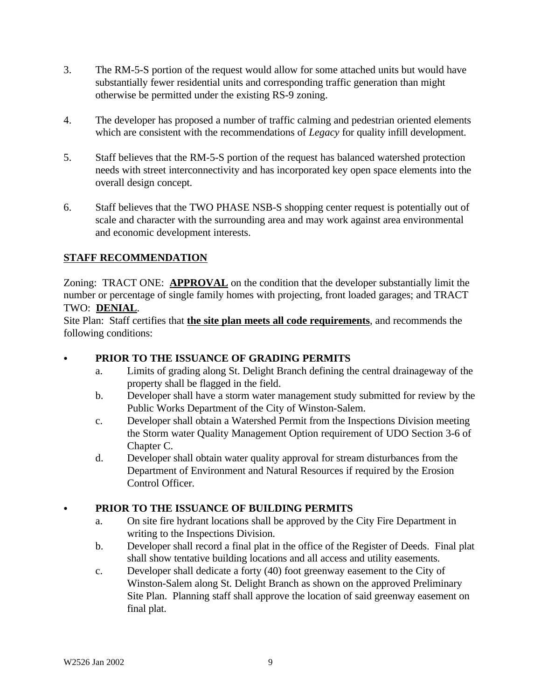- 3. The RM-5-S portion of the request would allow for some attached units but would have substantially fewer residential units and corresponding traffic generation than might otherwise be permitted under the existing RS-9 zoning.
- 4. The developer has proposed a number of traffic calming and pedestrian oriented elements which are consistent with the recommendations of *Legacy* for quality infill development.
- 5. Staff believes that the RM-5-S portion of the request has balanced watershed protection needs with street interconnectivity and has incorporated key open space elements into the overall design concept.
- 6. Staff believes that the TWO PHASE NSB-S shopping center request is potentially out of scale and character with the surrounding area and may work against area environmental and economic development interests.

# **STAFF RECOMMENDATION**

Zoning: TRACT ONE: **APPROVAL** on the condition that the developer substantially limit the number or percentage of single family homes with projecting, front loaded garages; and TRACT TWO: **DENIAL**.

Site Plan: Staff certifies that **the site plan meets all code requirements**, and recommends the following conditions:

## PRIOR TO THE ISSUANCE OF GRADING PERMITS

- a. Limits of grading along St. Delight Branch defining the central drainageway of the property shall be flagged in the field.
- b. Developer shall have a storm water management study submitted for review by the Public Works Department of the City of Winston-Salem.
- c. Developer shall obtain a Watershed Permit from the Inspections Division meeting the Storm water Quality Management Option requirement of UDO Section 3-6 of Chapter C.
- d. Developer shall obtain water quality approval for stream disturbances from the Department of Environment and Natural Resources if required by the Erosion Control Officer.

# C **PRIOR TO THE ISSUANCE OF BUILDING PERMITS**

- a. On site fire hydrant locations shall be approved by the City Fire Department in writing to the Inspections Division.
- b. Developer shall record a final plat in the office of the Register of Deeds. Final plat shall show tentative building locations and all access and utility easements.
- c. Developer shall dedicate a forty (40) foot greenway easement to the City of Winston-Salem along St. Delight Branch as shown on the approved Preliminary Site Plan. Planning staff shall approve the location of said greenway easement on final plat.